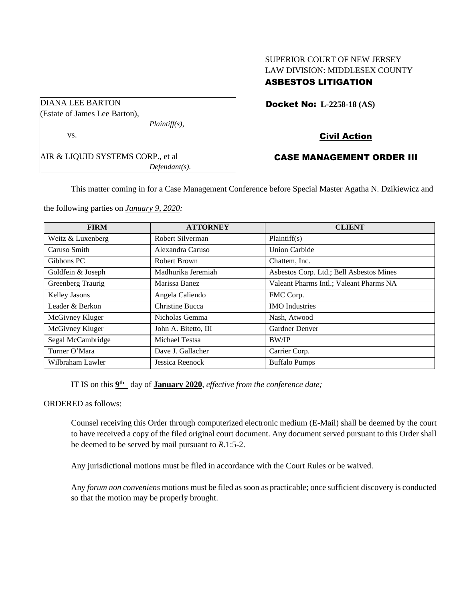# SUPERIOR COURT OF NEW JERSEY LAW DIVISION: MIDDLESEX COUNTY ASBESTOS LITIGATION

|  | <b>Docket No: L-2258-18 (AS)</b> |
|--|----------------------------------|
|--|----------------------------------|

# Civil Action

# CASE MANAGEMENT ORDER III

This matter coming in for a Case Management Conference before Special Master Agatha N. Dzikiewicz and

the following parties on *January 9, 2020:*

AIR & LIQUID SYSTEMS CORP., et al

*Plaintiff(s),*

*Defendant(s).*

DIANA LEE BARTON (Estate of James Lee Barton),

vs.

| <b>FIRM</b>       | <b>ATTORNEY</b>      | <b>CLIENT</b>                            |
|-------------------|----------------------|------------------------------------------|
| Weitz & Luxenberg | Robert Silverman     | Plaintiff(s)                             |
| Caruso Smith      | Alexandra Caruso     | <b>Union Carbide</b>                     |
| Gibbons PC        | Robert Brown         | Chattem, Inc.                            |
| Goldfein & Joseph | Madhurika Jeremiah   | Asbestos Corp. Ltd.; Bell Asbestos Mines |
| Greenberg Traurig | Marissa Banez        | Valeant Pharms Intl.; Valeant Pharms NA  |
| Kelley Jasons     | Angela Caliendo      | FMC Corp.                                |
| Leader & Berkon   | Christine Bucca      | <b>IMO</b> Industries                    |
| McGivney Kluger   | Nicholas Gemma       | Nash, Atwood                             |
| McGivney Kluger   | John A. Bitetto, III | <b>Gardner Denver</b>                    |
| Segal McCambridge | Michael Testsa       | <b>BW/IP</b>                             |
| Turner O'Mara     | Dave J. Gallacher    | Carrier Corp.                            |
| Wilbraham Lawler  | Jessica Reenock      | <b>Buffalo Pumps</b>                     |

IT IS on this  $9<sup>th</sup>$  day of **January 2020**, *effective from the conference date*;

ORDERED as follows:

Counsel receiving this Order through computerized electronic medium (E-Mail) shall be deemed by the court to have received a copy of the filed original court document. Any document served pursuant to this Order shall be deemed to be served by mail pursuant to *R*.1:5-2.

Any jurisdictional motions must be filed in accordance with the Court Rules or be waived.

Any *forum non conveniens* motions must be filed as soon as practicable; once sufficient discovery is conducted so that the motion may be properly brought.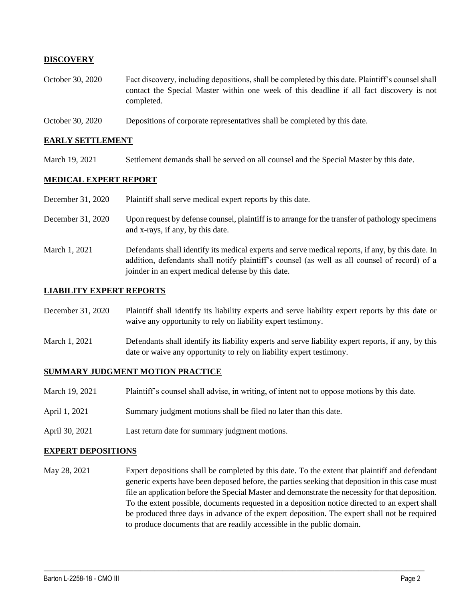## **DISCOVERY**

- October 30, 2020 Fact discovery, including depositions, shall be completed by this date. Plaintiff's counsel shall contact the Special Master within one week of this deadline if all fact discovery is not completed.
- October 30, 2020 Depositions of corporate representatives shall be completed by this date.

### **EARLY SETTLEMENT**

March 19, 2021 Settlement demands shall be served on all counsel and the Special Master by this date.

## **MEDICAL EXPERT REPORT**

| December 31, 2020 | Plaintiff shall serve medical expert reports by this date.                                                                                                                                                                                               |
|-------------------|----------------------------------------------------------------------------------------------------------------------------------------------------------------------------------------------------------------------------------------------------------|
| December 31, 2020 | Upon request by defense counsel, plaintiff is to arrange for the transfer of pathology specimens<br>and x-rays, if any, by this date.                                                                                                                    |
| March 1, 2021     | Defendants shall identify its medical experts and serve medical reports, if any, by this date. In<br>addition, defendants shall notify plaintiff's counsel (as well as all counsel of record) of a<br>joinder in an expert medical defense by this date. |

#### **LIABILITY EXPERT REPORTS**

December 31, 2020 Plaintiff shall identify its liability experts and serve liability expert reports by this date or waive any opportunity to rely on liability expert testimony.

March 1, 2021 Defendants shall identify its liability experts and serve liability expert reports, if any, by this date or waive any opportunity to rely on liability expert testimony.

#### **SUMMARY JUDGMENT MOTION PRACTICE**

- March 19, 2021 Plaintiff's counsel shall advise, in writing, of intent not to oppose motions by this date.
- April 1, 2021 Summary judgment motions shall be filed no later than this date.
- April 30, 2021 Last return date for summary judgment motions.

#### **EXPERT DEPOSITIONS**

May 28, 2021 Expert depositions shall be completed by this date. To the extent that plaintiff and defendant generic experts have been deposed before, the parties seeking that deposition in this case must file an application before the Special Master and demonstrate the necessity for that deposition. To the extent possible, documents requested in a deposition notice directed to an expert shall be produced three days in advance of the expert deposition. The expert shall not be required to produce documents that are readily accessible in the public domain.

 $\_$  , and the set of the set of the set of the set of the set of the set of the set of the set of the set of the set of the set of the set of the set of the set of the set of the set of the set of the set of the set of th